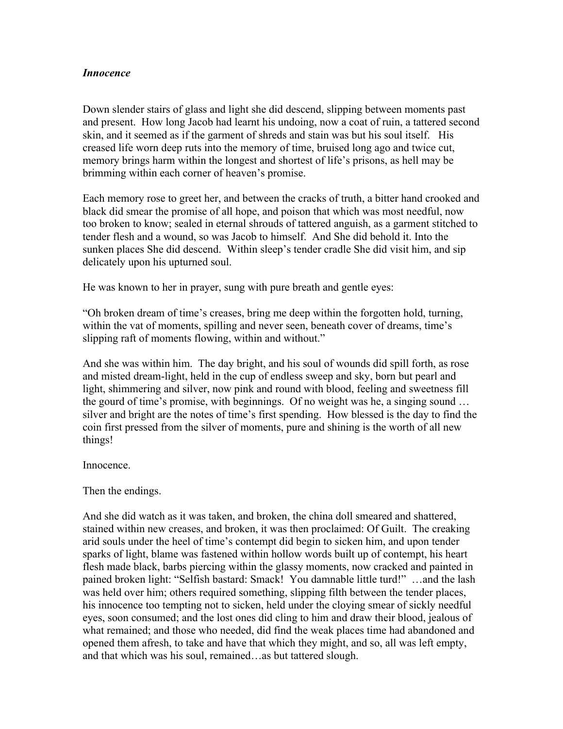## *Innocence*

Down slender stairs of glass and light she did descend, slipping between moments past and present. How long Jacob had learnt his undoing, now a coat of ruin, a tattered second skin, and it seemed as if the garment of shreds and stain was but his soul itself. His creased life worn deep ruts into the memory of time, bruised long ago and twice cut, memory brings harm within the longest and shortest of life's prisons, as hell may be brimming within each corner of heaven's promise.

Each memory rose to greet her, and between the cracks of truth, a bitter hand crooked and black did smear the promise of all hope, and poison that which was most needful, now too broken to know; sealed in eternal shrouds of tattered anguish, as a garment stitched to tender flesh and a wound, so was Jacob to himself. And She did behold it. Into the sunken places She did descend. Within sleep's tender cradle She did visit him, and sip delicately upon his upturned soul.

He was known to her in prayer, sung with pure breath and gentle eyes:

"Oh broken dream of time's creases, bring me deep within the forgotten hold, turning, within the vat of moments, spilling and never seen, beneath cover of dreams, time's slipping raft of moments flowing, within and without."

And she was within him. The day bright, and his soul of wounds did spill forth, as rose and misted dream-light, held in the cup of endless sweep and sky, born but pearl and light, shimmering and silver, now pink and round with blood, feeling and sweetness fill the gourd of time's promise, with beginnings. Of no weight was he, a singing sound … silver and bright are the notes of time's first spending. How blessed is the day to find the coin first pressed from the silver of moments, pure and shining is the worth of all new things!

Innocence.

Then the endings.

And she did watch as it was taken, and broken, the china doll smeared and shattered, stained within new creases, and broken, it was then proclaimed: Of Guilt. The creaking arid souls under the heel of time's contempt did begin to sicken him, and upon tender sparks of light, blame was fastened within hollow words built up of contempt, his heart flesh made black, barbs piercing within the glassy moments, now cracked and painted in pained broken light: "Selfish bastard: Smack! You damnable little turd!" …and the lash was held over him; others required something, slipping filth between the tender places, his innocence too tempting not to sicken, held under the cloying smear of sickly needful eyes, soon consumed; and the lost ones did cling to him and draw their blood, jealous of what remained; and those who needed, did find the weak places time had abandoned and opened them afresh, to take and have that which they might, and so, all was left empty, and that which was his soul, remained…as but tattered slough.